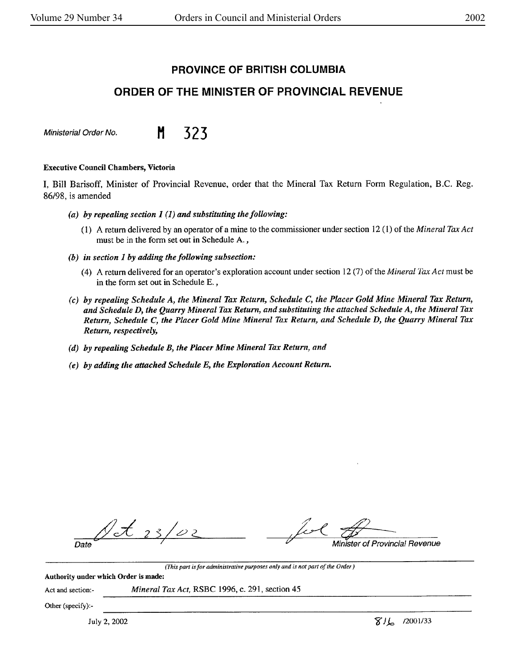# **PROVINCE OF BRITISH COLUMBIA**

# **ORDER OF THE MINISTER OF PROVINCIAL REVENUE**

Ministerial Order No. **M** 323

#### **Executive Council Chambers, Victoria**

I, Bill Barisoff, Minister of Provincial Revenue, order that the Mineral Tax Return Form Regulation, B.C. Reg. 86/98, is amended

- *(a) by repealing section I (1) and substituting the following:* 
	- (1) A return delivered by an operator of a mine to the commissioner under section 12 (1) of the *Mineral Tax Act*  must be in the form set out in Schedule A. ,
- *(b) in section I by adding the following subsection:* 
	- ( 4) A return delivered for an operator's exploration account under section 12 (7) of the *Mineral Tax Act* must be in the form set out in Schedule E. *,*
- *(c) by repealing Schedule A, the Mineral Tax Return, Schedule C, the Placer Gold Mine Mineral Tax Return, and Schedule D, the Quarry Mineral Tax Return, and substituting the attached Schedule A, the Mineral Tax Return, Schedule* C, *the Placer Gold Mine Mineral Tax Return, and Schedule D, the Quarry Mineral Tax Return, respectively,*
- *(d)* by *repealing Schedule B, the Placer Mine Mineral Tax Return, and*
- *(e) by adding the attached Schedule E, the Exploration Account Return.*

fixed of Province  $25/22$ Date

(This *par<sup>t</sup>is for administrative purposes only and is not part of the Order)* 

Authority under which Order is made:

Act and section:- *Mineral Tax Act,* RSBC 1996, c. 291, section 45

Other (specify):-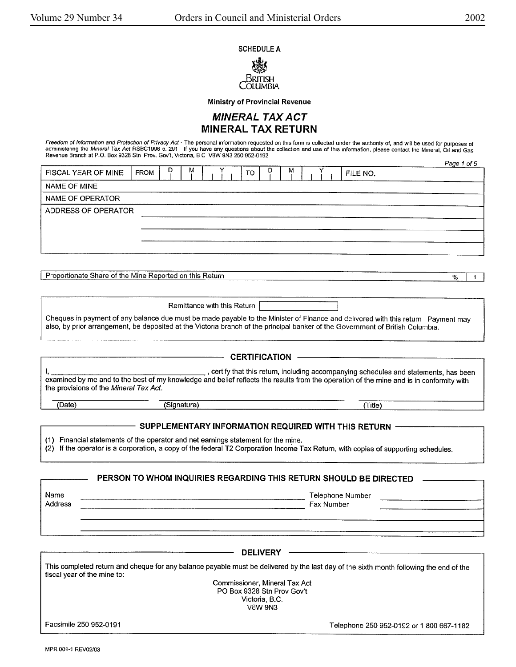Page 1 of 5

#### SCHEDULE A



**Ministry of Provincial Revenue** 

## **MINERAL TAX ACT MINERAL TAX RETURN**

Freedom of Information and Protection of Privacy Act - The personal information requested on this form is collected under the authonty of, and will be used for purposes of administering the *Mineral Tax Act* RSBC1996 c. 291 If you have any questions about the collection and use of this information, please contact the Mineral, Oil and Gas<br>Revenue Branch at P.O. Box 9328 Stn Prov. Gov't, Victo

| FISCAL YEAR OF MINE | FROM | M | TO. | D. | м | FILE NO. |  |
|---------------------|------|---|-----|----|---|----------|--|
| NAME OF MINE        |      |   |     |    |   |          |  |
| NAME OF OPERATOR    |      |   |     |    |   |          |  |
| ADDRESS OF OPERATOR |      |   |     |    |   |          |  |
|                     |      |   |     |    |   |          |  |
|                     |      |   |     |    |   |          |  |
|                     |      |   |     |    |   |          |  |

Proportionate Share of the Mine Reported on this Return **Example 2018 I**  $\frac{96}{1}$  **I** 

Remittance with this Return |  $\sim$   $\sim$   $\sim$   $\sim$   $\sim$   $\sim$   $\sim$   $\sim$ 

Cheques in payment of any balance due must be made payable to the Minister of Finance and delivered with this return Payment may also, by prior arrangement, be deposited at the Victoria branch of the principal banker of the Government of British Columbia.

- **CERTIFICATION** -.. certify that this return, including accompanying schedules and statements, has been examined by me and to the best of my knowledge and belief reflects the results from the operation of the mine and is in conformity with the provisions of the Mineral Tax Act. (Date) (Signature) (Signature) (Signature (Signature in the second second second second second second second second second second second second second second second second second second second second second second second s . The contract of the contract of the contract of the contract of the contract of the contract of the contract of the contract of the contract of the contract of the contract of the contract of the contract of the contrac SUPPLEMENTARY INFORMATION REQUIRED WITH THIS RETURN -(1) Financial statements of the operator and net earnings statement for the mine. (2) If the operator is a corporation, a copy of the federal T2 Corporation Income Tax Return, with copies of supporting schedules.

# **PERSON** TO **WHOM INQUIRIES REGARDING THIS RETURN SHOULD BE DIRECTED**

Name **Number of the Contract of the Contract of the Contract of the Contract of Telephone Number** of Telephone Number Address Fax Number Fax Number of the Second Library of the Second Library of the Second Library of the Second Library of the Second Library of the Second Library of the Second Library of the Second Library of the Second Li

**DELIVERY**  This completed return and cheque for any balance payable must be delivered by the last day of the sixth month following the end of the fiscal year of the mine to: Facsimile 250 952-0191 Commissioner, Mineral Tax Act PO Box 9328 Stn Prov Gov't Victoria, B.C. V8W9N3 Telephone 250 952-0192 or 1 800 667-1182

MPR 001-1 REV02/03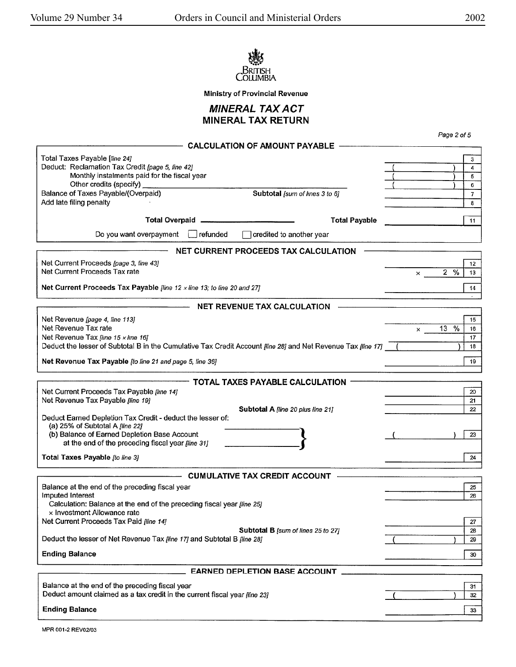



**MINERAL TAX ACT MINERAL TAX RETURN** 

| <b>CALCULATION OF AMOUNT PAYABLE</b><br>Total Taxes Payable [line 24]<br>Deduct: Reclamation Tax Credit [page 5, line 42]<br>Monthly instalments paid for the fiscal year<br>Other credits (specify)<br>Balance of Taxes Payable/(Overpaid)<br>Subtotal [sum of lines 3 to 6]<br>Add late filing penalty<br><b>Total Overpaid</b><br><b>Total Payable</b><br>Do you want overpayment<br>refunded<br>credited to another year<br>NET CURRENT PROCEEDS TAX CALCULATION<br>Net Current Proceeds [page 3, line 43]<br>Net Current Proceeds Tax rate<br>$\times$<br>Net Current Proceeds Tax Payable [line 12 $\times$ line 13; to line 20 and 27]<br><b>NET REVENUE TAX CALCULATION</b><br>Net Revenue [page 4, line 113]<br>Net Revenue Tax rate<br>$\times$<br>Net Revenue Tax [line 15 x line 16]<br>Deduct the lesser of Subtotal B in the Cumulative Tax Credit Account [line 28] and Net Revenue Tax [line 17]<br>Net Revenue Tax Payable [to line 21 and page 5, line 36]<br>TOTAL TAXES PAYABLE CALCULATION<br>Net Current Proceeds Tax Payable [line 14]<br>Net Revenue Tax Payable [line 19]<br>Subtotal A [line 20 plus line 21]<br>Deduct Earned Depletion Tax Credit - deduct the lesser of:<br>(a) 25% of Subtotal A [line 22]<br>(b) Balance of Earned Depletion Base Account<br>at the end of the preceding fiscal year [line 31]<br>Total Taxes Payable [to line 3]<br><b>CUMULATIVE TAX CREDIT ACCOUNT</b><br>Balance at the end of the preceding fiscal year<br>Imputed Interest<br>Calculation: Balance at the end of the preceding fiscal year [line 25]<br>x Investment Allowance rate<br>Net Current Proceeds Tax Paid [line 14]<br>Subtotal B [sum of lines 25 to 27]<br>Deduct the lesser of Net Revenue Tax [line 17] and Subtotal B [line 28]<br><b>Ending Balance</b><br><b>EARNED DEPLETION BASE ACCOUNT</b><br>Balance at the end of the preceding fiscal year<br>Deduct amount claimed as a tax credit in the current fiscal year fline 23] | Page 2 of 5                  |  |
|------------------------------------------------------------------------------------------------------------------------------------------------------------------------------------------------------------------------------------------------------------------------------------------------------------------------------------------------------------------------------------------------------------------------------------------------------------------------------------------------------------------------------------------------------------------------------------------------------------------------------------------------------------------------------------------------------------------------------------------------------------------------------------------------------------------------------------------------------------------------------------------------------------------------------------------------------------------------------------------------------------------------------------------------------------------------------------------------------------------------------------------------------------------------------------------------------------------------------------------------------------------------------------------------------------------------------------------------------------------------------------------------------------------------------------------------------------------------------------------------------------------------------------------------------------------------------------------------------------------------------------------------------------------------------------------------------------------------------------------------------------------------------------------------------------------------------------------------------------------------------------------------------------------------------------------------------------------------|------------------------------|--|
|                                                                                                                                                                                                                                                                                                                                                                                                                                                                                                                                                                                                                                                                                                                                                                                                                                                                                                                                                                                                                                                                                                                                                                                                                                                                                                                                                                                                                                                                                                                                                                                                                                                                                                                                                                                                                                                                                                                                                                        |                              |  |
|                                                                                                                                                                                                                                                                                                                                                                                                                                                                                                                                                                                                                                                                                                                                                                                                                                                                                                                                                                                                                                                                                                                                                                                                                                                                                                                                                                                                                                                                                                                                                                                                                                                                                                                                                                                                                                                                                                                                                                        | 3<br>4<br>5<br>6             |  |
|                                                                                                                                                                                                                                                                                                                                                                                                                                                                                                                                                                                                                                                                                                                                                                                                                                                                                                                                                                                                                                                                                                                                                                                                                                                                                                                                                                                                                                                                                                                                                                                                                                                                                                                                                                                                                                                                                                                                                                        | $\overline{7}$<br>8          |  |
|                                                                                                                                                                                                                                                                                                                                                                                                                                                                                                                                                                                                                                                                                                                                                                                                                                                                                                                                                                                                                                                                                                                                                                                                                                                                                                                                                                                                                                                                                                                                                                                                                                                                                                                                                                                                                                                                                                                                                                        | 11                           |  |
|                                                                                                                                                                                                                                                                                                                                                                                                                                                                                                                                                                                                                                                                                                                                                                                                                                                                                                                                                                                                                                                                                                                                                                                                                                                                                                                                                                                                                                                                                                                                                                                                                                                                                                                                                                                                                                                                                                                                                                        |                              |  |
|                                                                                                                                                                                                                                                                                                                                                                                                                                                                                                                                                                                                                                                                                                                                                                                                                                                                                                                                                                                                                                                                                                                                                                                                                                                                                                                                                                                                                                                                                                                                                                                                                                                                                                                                                                                                                                                                                                                                                                        |                              |  |
|                                                                                                                                                                                                                                                                                                                                                                                                                                                                                                                                                                                                                                                                                                                                                                                                                                                                                                                                                                                                                                                                                                                                                                                                                                                                                                                                                                                                                                                                                                                                                                                                                                                                                                                                                                                                                                                                                                                                                                        | 12<br>2%<br>13               |  |
|                                                                                                                                                                                                                                                                                                                                                                                                                                                                                                                                                                                                                                                                                                                                                                                                                                                                                                                                                                                                                                                                                                                                                                                                                                                                                                                                                                                                                                                                                                                                                                                                                                                                                                                                                                                                                                                                                                                                                                        | 14                           |  |
|                                                                                                                                                                                                                                                                                                                                                                                                                                                                                                                                                                                                                                                                                                                                                                                                                                                                                                                                                                                                                                                                                                                                                                                                                                                                                                                                                                                                                                                                                                                                                                                                                                                                                                                                                                                                                                                                                                                                                                        |                              |  |
|                                                                                                                                                                                                                                                                                                                                                                                                                                                                                                                                                                                                                                                                                                                                                                                                                                                                                                                                                                                                                                                                                                                                                                                                                                                                                                                                                                                                                                                                                                                                                                                                                                                                                                                                                                                                                                                                                                                                                                        | 15<br>13 %<br>16<br>17<br>18 |  |
|                                                                                                                                                                                                                                                                                                                                                                                                                                                                                                                                                                                                                                                                                                                                                                                                                                                                                                                                                                                                                                                                                                                                                                                                                                                                                                                                                                                                                                                                                                                                                                                                                                                                                                                                                                                                                                                                                                                                                                        | 19                           |  |
|                                                                                                                                                                                                                                                                                                                                                                                                                                                                                                                                                                                                                                                                                                                                                                                                                                                                                                                                                                                                                                                                                                                                                                                                                                                                                                                                                                                                                                                                                                                                                                                                                                                                                                                                                                                                                                                                                                                                                                        |                              |  |
|                                                                                                                                                                                                                                                                                                                                                                                                                                                                                                                                                                                                                                                                                                                                                                                                                                                                                                                                                                                                                                                                                                                                                                                                                                                                                                                                                                                                                                                                                                                                                                                                                                                                                                                                                                                                                                                                                                                                                                        | 20<br>21<br>22               |  |
|                                                                                                                                                                                                                                                                                                                                                                                                                                                                                                                                                                                                                                                                                                                                                                                                                                                                                                                                                                                                                                                                                                                                                                                                                                                                                                                                                                                                                                                                                                                                                                                                                                                                                                                                                                                                                                                                                                                                                                        | 23                           |  |
|                                                                                                                                                                                                                                                                                                                                                                                                                                                                                                                                                                                                                                                                                                                                                                                                                                                                                                                                                                                                                                                                                                                                                                                                                                                                                                                                                                                                                                                                                                                                                                                                                                                                                                                                                                                                                                                                                                                                                                        | 24                           |  |
|                                                                                                                                                                                                                                                                                                                                                                                                                                                                                                                                                                                                                                                                                                                                                                                                                                                                                                                                                                                                                                                                                                                                                                                                                                                                                                                                                                                                                                                                                                                                                                                                                                                                                                                                                                                                                                                                                                                                                                        |                              |  |
|                                                                                                                                                                                                                                                                                                                                                                                                                                                                                                                                                                                                                                                                                                                                                                                                                                                                                                                                                                                                                                                                                                                                                                                                                                                                                                                                                                                                                                                                                                                                                                                                                                                                                                                                                                                                                                                                                                                                                                        | 25<br>26                     |  |
|                                                                                                                                                                                                                                                                                                                                                                                                                                                                                                                                                                                                                                                                                                                                                                                                                                                                                                                                                                                                                                                                                                                                                                                                                                                                                                                                                                                                                                                                                                                                                                                                                                                                                                                                                                                                                                                                                                                                                                        | 27<br>28                     |  |
|                                                                                                                                                                                                                                                                                                                                                                                                                                                                                                                                                                                                                                                                                                                                                                                                                                                                                                                                                                                                                                                                                                                                                                                                                                                                                                                                                                                                                                                                                                                                                                                                                                                                                                                                                                                                                                                                                                                                                                        | 29                           |  |
|                                                                                                                                                                                                                                                                                                                                                                                                                                                                                                                                                                                                                                                                                                                                                                                                                                                                                                                                                                                                                                                                                                                                                                                                                                                                                                                                                                                                                                                                                                                                                                                                                                                                                                                                                                                                                                                                                                                                                                        | 30                           |  |
|                                                                                                                                                                                                                                                                                                                                                                                                                                                                                                                                                                                                                                                                                                                                                                                                                                                                                                                                                                                                                                                                                                                                                                                                                                                                                                                                                                                                                                                                                                                                                                                                                                                                                                                                                                                                                                                                                                                                                                        |                              |  |
|                                                                                                                                                                                                                                                                                                                                                                                                                                                                                                                                                                                                                                                                                                                                                                                                                                                                                                                                                                                                                                                                                                                                                                                                                                                                                                                                                                                                                                                                                                                                                                                                                                                                                                                                                                                                                                                                                                                                                                        | 31<br>32                     |  |
| <b>Ending Balance</b>                                                                                                                                                                                                                                                                                                                                                                                                                                                                                                                                                                                                                                                                                                                                                                                                                                                                                                                                                                                                                                                                                                                                                                                                                                                                                                                                                                                                                                                                                                                                                                                                                                                                                                                                                                                                                                                                                                                                                  | 33                           |  |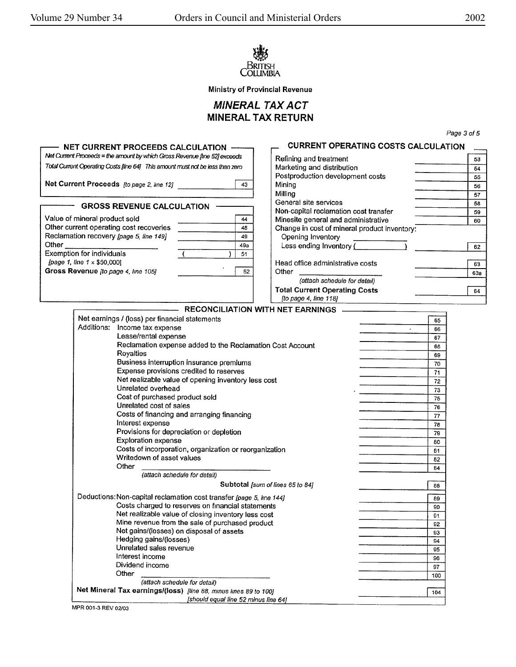

**MINERAL TAX** ACT **MINERAL TAX** RETURN

|                                                                                | Net Current Proceeds = the amount by which Gross Revenue [line 52] exceeds | Refining and treatment                       |           | 53  |
|--------------------------------------------------------------------------------|----------------------------------------------------------------------------|----------------------------------------------|-----------|-----|
| Total Current Operating Costs [line 64] This amount must not be less than zero |                                                                            | Marketing and distribution                   |           | 54  |
|                                                                                |                                                                            | Postproduction development costs             |           | 55  |
| Net Current Proceeds [to page 2, line 12]                                      | 43                                                                         | Mining                                       |           | 56  |
|                                                                                |                                                                            | Milling                                      |           | 57  |
|                                                                                |                                                                            | General site services                        |           | 58  |
| <b>GROSS REVENUE CALCULATION</b>                                               |                                                                            | Non-capital reclamation cost transfer        |           | 59  |
| Value of mineral product sold                                                  | 44                                                                         | Minesite general and administrative          |           | 60  |
| Other current operating cost recoveries                                        | 48                                                                         | Change in cost of mineral product inventory: |           |     |
| Reclamation recovery (page 5, line 149]                                        | 49                                                                         | Opening Inventory                            |           |     |
| Other                                                                          | 49a                                                                        | Less ending Inventory (                      |           | 62  |
| Exemption for individuals                                                      | 51                                                                         |                                              |           |     |
| [page 1, line $1 \times $50,000$ ]                                             |                                                                            | Head office administrative costs             |           | 63  |
| Gross Revenue [to page 4, line 105]                                            | 52                                                                         | Other                                        |           | 63a |
|                                                                                |                                                                            | (attach schedule for detail)                 |           |     |
|                                                                                |                                                                            | <b>Total Current Operating Costs</b>         |           | 64  |
|                                                                                |                                                                            | [to page 4, line 118]                        |           |     |
|                                                                                |                                                                            | - RECONCILIATION WITH NET EARNINGS           |           |     |
| Net earnings / (loss) per financial statements                                 |                                                                            |                                              | 65        |     |
| Additions: Income tax expense                                                  |                                                                            |                                              | 66        |     |
| Lease/rental expense                                                           |                                                                            |                                              | 67        |     |
| Reclamation expense added to the Reclamation Cost Account                      |                                                                            |                                              | 68        |     |
| Royalties                                                                      |                                                                            |                                              | 69        |     |
| Business interruption insurance premiums                                       |                                                                            |                                              | 70        |     |
| Expense provisions credited to reserves                                        |                                                                            |                                              | 71        |     |
| Net realizable value of opening inventory less cost                            |                                                                            |                                              | 72        |     |
| Unrelated overhead                                                             |                                                                            |                                              | 73        |     |
| Cost of purchased product sold                                                 |                                                                            |                                              | 75        |     |
| Unrelated cost of sales                                                        |                                                                            |                                              | 76        |     |
| Costs of financing and arranging financing                                     |                                                                            |                                              | 77        |     |
| Interest expense                                                               |                                                                            |                                              | 78        |     |
| Provisions for depreciation or depletion                                       |                                                                            |                                              | 79        |     |
| Exploration expense                                                            |                                                                            |                                              | 80        |     |
| Costs of incorporation, organization or reorganization                         |                                                                            |                                              | 81        |     |
| Writedown of asset values                                                      |                                                                            |                                              | 82        |     |
| Other                                                                          |                                                                            |                                              | 84        |     |
| (attach schedule for detail)                                                   |                                                                            |                                              |           |     |
|                                                                                |                                                                            | Subtotal [sum of lines 65 to 84]             | 88        |     |
| Deductions: Non-capital reclamation cost transfer [page 5, line 144]           |                                                                            |                                              |           |     |
| Costs charged to reserves on financial statements                              |                                                                            |                                              | 89        |     |
| Net realizable value of closing inventory less cost                            |                                                                            |                                              | 90        |     |
| Mine revenue from the sale of purchased product                                |                                                                            |                                              | 91        |     |
| Net gains/(losses) on disposal of assets                                       |                                                                            |                                              | 92        |     |
| Hedging gains/(losses)                                                         |                                                                            |                                              | 93        |     |
| Unrelated sales revenue                                                        |                                                                            |                                              | 94        |     |
| Interest income                                                                |                                                                            |                                              | 95        |     |
|                                                                                |                                                                            |                                              | 96        |     |
|                                                                                |                                                                            |                                              |           |     |
| Dividend income<br>Other                                                       |                                                                            |                                              | 97<br>100 |     |

MPR 001-3 REV 02/03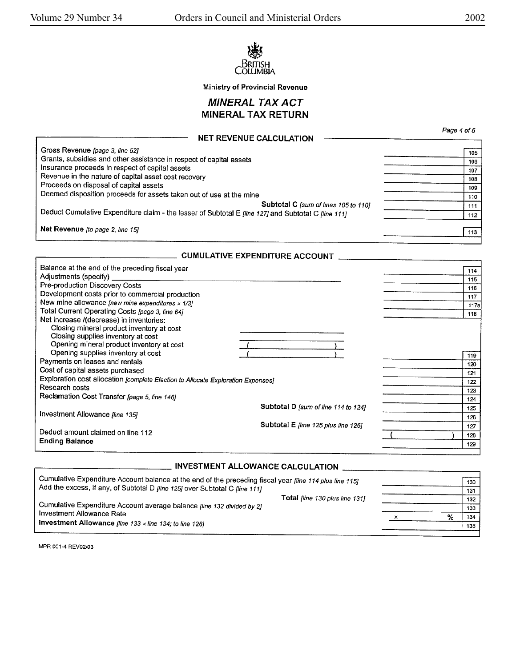



## MINERAL TAX ACT MINERAL TAX RETURN

|                                                                                                     | Page 4 of 5 |
|-----------------------------------------------------------------------------------------------------|-------------|
| <b>NET REVENUE CALCULATION</b>                                                                      |             |
| Gross Revenue [page 3, line 52]                                                                     | 105         |
| Grants, subsidies and other assistance in respect of capital assets                                 | 106         |
| Insurance proceeds in respect of capital assets                                                     | 107         |
| Revenue in the nature of capital asset cost recovery                                                | 108         |
| Proceeds on disposal of capital assets                                                              | 109         |
| Deemed disposition proceeds for assets taken out of use at the mine                                 | 110         |
| Subtotal C [sum of lines 105 to 110]                                                                | 111         |
| Deduct Cumulative Expenditure claim - the lesser of Subtotal E [line 127] and Subtotal C [line 111] | 112         |
| Net Revenue [to page 2, line 15]                                                                    | 113         |
|                                                                                                     |             |

#### **CUMULATIVE EXPENDITURE ACCOUNT**

| Balance at the end of the preceding fiscal year                                  |                                     |      |
|----------------------------------------------------------------------------------|-------------------------------------|------|
| Adjustments (specify)                                                            |                                     | 114  |
| Pre-production Discovery Costs                                                   |                                     | 115  |
| Development costs prior to commercial production                                 |                                     | 116  |
| New mine allowance [new mine expenditures $\times$ 1/3]                          |                                     | 117  |
| Total Current Operating Costs [page 3, line 64]                                  |                                     | 117a |
|                                                                                  |                                     | 118  |
| Net increase /(decrease) in inventories:                                         |                                     |      |
| Closing mineral product inventory at cost                                        |                                     |      |
| Closing supplies inventory at cost                                               |                                     |      |
| Opening mineral product inventory at cost                                        |                                     |      |
| Opening supplies inventory at cost                                               |                                     | 119  |
| Payments on leases and rentals                                                   |                                     | 120  |
| Cost of capital assets purchased                                                 |                                     | 121  |
| Exploration cost allocation [complete Election to Allocate Exploration Expenses] |                                     | 122  |
| Research costs                                                                   |                                     | 123  |
| Reclamation Cost Transfer [page 5, line 146]                                     |                                     | 124  |
|                                                                                  | Subtotal D [sum of line 114 to 124] | 125  |
| Investment Allowance [Ime 135]                                                   |                                     |      |
|                                                                                  |                                     | 126  |
| Deduct amount claimed on line 112                                                | Subtotal E [Ine 125 plus line 126]  | 127  |
|                                                                                  |                                     | 128  |
| <b>Ending Balance</b>                                                            |                                     | 129  |
|                                                                                  |                                     |      |

## **INVESTMENT ALLOWANCE CALCULATION**

| Cumulative Expenditure Account balance at the end of the preceding fiscal year <i>[line 114 plus line 115]</i> |   | 130 |
|----------------------------------------------------------------------------------------------------------------|---|-----|
| Add the excess, if any, of Subtotal D [line 125] over Subtotal C [line 111]                                    |   | 131 |
| Total fline 130 plus line 1311                                                                                 |   | 132 |
| Cumulative Expenditure Account average balance [line 132 divided by 2]                                         |   | 133 |
| Investment Allowance Rate                                                                                      | % | 134 |
| Investment Allowance [line 133 $\times$ line 134; to line 126]                                                 |   | 135 |
|                                                                                                                |   |     |

MPR 001-4 REV02/03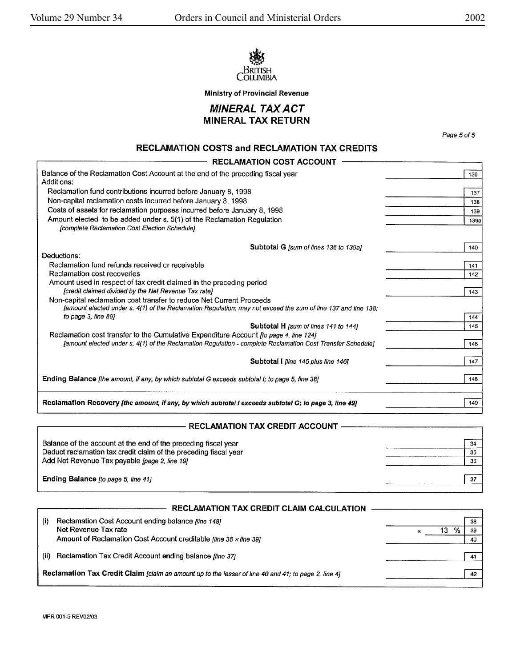



**MINERAL TAX ACT MINERAL TAX RETURN** 

Page 5 of 5

٦

## RECLAMATION COSTS and RECLAMATION TAX CREDITS

| <b>RECLAMATION COST ACCOUNT</b>                                                                                         |             |
|-------------------------------------------------------------------------------------------------------------------------|-------------|
| Balance of the Reclamation Cost Account at the end of the preceding fiscal year                                         | 136         |
| Additions:                                                                                                              |             |
| Reclamation fund contributions incurred before January 8, 1998                                                          | 137         |
| Non-capital reclamation costs incurred before January 8, 1998                                                           | 138         |
| Costs of assets for reclamation purposes incurred before January 8, 1998                                                | 139         |
| Amount elected to be added under s. 5(1) of the Reclamation Regulation<br>[complete Reclamation Cost Election Schedule] | <b>139a</b> |
|                                                                                                                         |             |
| Subtotal G fsum of lines 136 to 139al                                                                                   | 140         |
| Deductions:                                                                                                             |             |
| Reclamation fund refunds received or receivable                                                                         | 141         |
| Reclamation cost recoveries                                                                                             | 142         |
| Amount used in respect of tax credit claimed in the preceding period                                                    |             |
| [credit claimed divided by the Net Revenue Tax rate]                                                                    | 143         |
| Non-capital reclamation cost transfer to reduce Net Current Proceeds                                                    |             |
| famount elected under s. 4(1) of the Reclamation Regulation; may not exceed the sum of line 137 and line 138;           |             |
| to page 3, line 891                                                                                                     | 144         |
| Subtotal H [sum of lines 141 to 144]                                                                                    | 145         |
| Reclamation cost transfer to the Cumulative Expenditure Account <i>to page 4, line 124]</i>                             |             |
| [amount elected under s. 4(1) of the Reclamation Regulation - complete Reclamation Cost Transfer Schedule]              | 146         |
|                                                                                                                         | 147         |
| Subtotal I lline 145 plus line 1461                                                                                     |             |
| Ending Balance [the amount, if any, by which subtotal G exceeds subtotal I; to page 5, line 38]                         | 148         |
|                                                                                                                         |             |
|                                                                                                                         |             |
| Reclamation Recovery [the amount, if any, by which subtotal I exceeds subtotal G; to page 3, line 49]                   | 149         |

#### **RECLAMATION TAX CREDIT ACCOUNT**

| Balance of the account at the end of the preceding fiscal year   | 34  |
|------------------------------------------------------------------|-----|
| Deduct reclamation tax credit claim of the preceding fiscal year | -35 |
| Add Net Revenue Tax payable <i>[page 2, line 19]</i>             | 36  |
| Ending Balance Ito page 5, line 41]                              | -37 |

|                                                                                                      | <b>RECLAMATION TAX CREDIT CLAIM CALCULATION</b>                                                                                                                        |   |                |
|------------------------------------------------------------------------------------------------------|------------------------------------------------------------------------------------------------------------------------------------------------------------------------|---|----------------|
| (i)                                                                                                  | Reclamation Cost Account ending balance <i>[line 148]</i><br>Net Revenue Tax rate<br>Amount of Reclamation Cost Account creditable <i>fline</i> $38 \times$ line $391$ | ℅ | 38<br>39<br>40 |
| (ii)                                                                                                 | Reclamation Tax Credit Account ending balance fline 37                                                                                                                 |   | 41             |
| Reclamation Tax Credit Claim [claim an amount up to the lesser of line 40 and 41; to page 2, line 4] |                                                                                                                                                                        |   | 42             |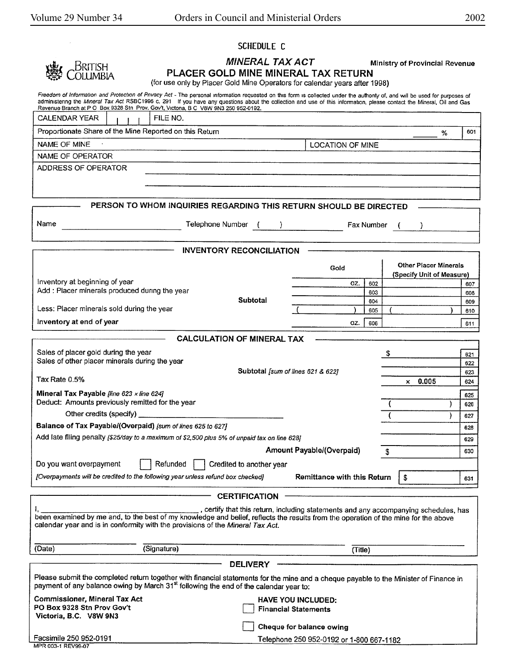**PLACER GOLD MINE MINERAL TAX RETURN**  (for use only by Placer Gold Mine Operators for calendar years after 1998) Freedom of Information and Protection of Privacy Act - The personal information requested on this form is collected under the authonty of, and will be used for purposes of Freedom Crimining the Mrneral Tax Act RSBC1996 c. 291 If you have any questions about the collection and use of this information, please contact the Mineral, Oil and Gas Revenue Branch at P O Box 9328 Stn Prov. Gov't, Victona, B C V8W 9N3 250 952-0192.<br>CALENDAR YEAR I I I FILE NO. Proportionate Share of the Mine Reported on this Return % I <sup>601</sup> **NAME OF MINE I** LOCATION OF MINE NAME OF OPERATOR ADDRESS OF OPERATOR **PERSON TO WHOM INQUIRIES REGARDING THIS RETURN SHOULD BE DIRECTED**  Name **Telephone Number (Community Fax Number** Community Fax Number  $\sqrt{ }$  -----------**INVENTORY RECONCILIATION**  Gold **Other Placer Minerals (Specify Unit of Measure)**  Inventory at beginning of year  $\overline{02}$ .  $\overline{602}$  607  $\overline{607}$  607 Add : Placer minerals produced during the year 603 608 **Subtotal** 604 609 Less: Placer minerals sold during the year  $($   $)$  605 ( ) 610 **Inventory at end of year <b>of the contract of the contract of the contract of the contract of the contract of the contract of the contract of the contract of the contract of the contract of the contract of the contract of CALCULATION OF MINERAL TAX**  Sales of placer gold during the year 621 Sales of other placer minerals during the year 622 **Subtotal [sum of lines 621 & 622]** 623 Tax Rate 0.5%  $\times$  0.005  $624$ **Mineral Tax Payable [line 623**  $\times$  **line 624]**  $\overline{625}$  $\overline{625}$ Deduct: Amounts previously remitted for the year ( ) 626 Other credits (specify) ( ) <sup>627</sup> Balance of Tax Payable/(Overpaid) [sum of lines 625 to 627] **628 627 628** Add late filing penalty (\$25/day to a maximum of *\$2,500* plus 5% of unpaid tax on line *628]* <sup>629</sup> Amount Payable/(Overpaid) **630** 630 Do you want overpayment  $\parallel$  Refunded  $\parallel$  Credited to another year [Overpayments will be credited to the following year unless refund box checked] **Remittance with this Return** 1\$ <sup>631</sup> **CERTIFICATION**  , certify that this return, including statements and any accompanying schedules, has been examined by me and, to the best of my knowledge and belief, reflects the results from the operation of the mine for the above calendar year and is in conformity with the provisions of the Mineral Tax Act. (Date) (Signature) (Title} **DELIVERY**  Please submit the completed return together with financial statements for the mine and a cheque payable to the Minister of Finance in payment of any balance owing by March 31<sup>st</sup> following the end of the calendar year to: **Commissioner, Mineral Tax Act HAVE YOU INCLUDED:** 0 **Financial Statements PO Box 9328 Stn Prov Gov't Victoria, B.C. VSW 9N3**  0 **Cheque for balance owing**  Facsimile 250 952-0191 Telephone 250 952-0192 or 1-800 667-1182 MPR 003-1 REV99..07

SCHEDULE C

**MINERAL TAX ACT** Ministry of Provincial Revenue

British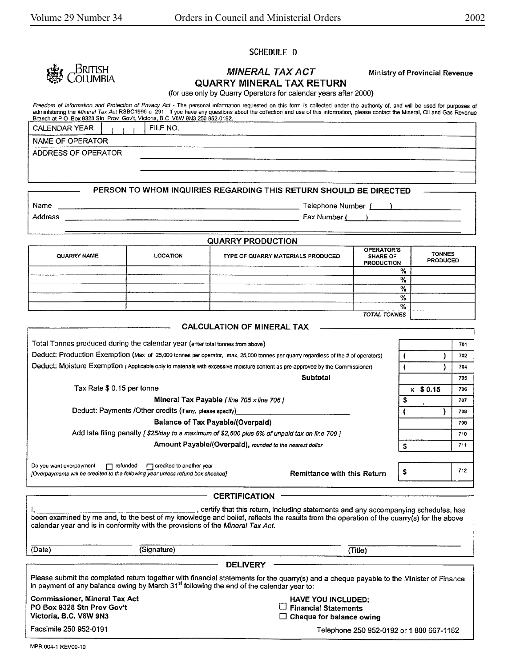#### SCHEDULE D



# **MINERAL TAX ACT** Ministry of Provincial Revenue **QUARRY MINERAL TAX RETURN**

 $\frac{9}{6}$ %

|  | (for use only by Quarry Operators for calendar years after 2000) |  |
|--|------------------------------------------------------------------|--|

Freedom of Information and Protection of Pnvacy Act - The personal information requested on this form is collected under the authority of, and will be used for purposes of administering the *Mineral Tax Act* RSBC1996 c\_291\_ If you have any questions about the collection and use of this information, please contact the Mineral, Oil and Gas Revenue<br>Branch at P O\_Box 9328 Stn\_Prov\_Gov't, Victori

| Fax Number (                     |
|----------------------------------|
|                                  |
|                                  |
| <b>TONNES</b><br><b>PRODUCED</b> |
|                                  |
|                                  |
|                                  |

| <b>TOTAL TONNES</b>                                                                                                              |            |     |
|----------------------------------------------------------------------------------------------------------------------------------|------------|-----|
| <b>CALCULATION OF MINERAL TAX</b>                                                                                                |            |     |
| Total Tonnes produced during the calendar year (enter total tonnes from above)                                                   |            | 701 |
| Deduct: Production Exemption (Max of 25,000 tonnes per operator, max. 25,000 tonnes per quarry regardless of the # of operators) |            | 702 |
| Deduct: Moisture Exemption (Applicable only to matenals with excessive moisture content as pre-approved by the Commissioner)     |            | 704 |
| <b>Subtotal</b>                                                                                                                  |            | 705 |
| Tax Rate \$ 0.15 per tonne                                                                                                       | $x$ \$0.15 | 706 |
| Mineral Tax Payable [ line 705 x line 706 ]                                                                                      |            | 707 |
| Deduct: Payments /Other credits (if any, please specify)______                                                                   |            | 708 |
| <b>Balance of Tax Payable/(Overpaid)</b>                                                                                         |            | 709 |
| Add late filing penalty [\$25/day to a maximum of \$2,500 plus 5% of unpaid tax on line 709 ]                                    |            | 710 |
| Amount Payable/(Overpaid), rounded to the nearest dollar                                                                         |            | 711 |
| Do you want overpayment<br>$\Box$ credited to another year<br>$\Box$ refunded                                                    |            |     |
| <b>Remittance with this Return</b><br>[Overpayments will be credited to the following year unless refund box checked]            |            | 712 |

**CERTIFICATION**  , certify that this return, including statements and any accompanying schedules, has been examined by me and, to the best of my knowledge and belief, reflects the results from the operation of the quarry(s) for the above calendar year and is in conformity with the provisions of the Mineral Tax Act. {Date) (Signature) (Title) **DELIVERY**  Please submit the completed return together with financial statements for the quarry(s) and a cheque payable to the Minister of Finance in payment of any balance owing by March 31<sup>st</sup> following the end of the calendar year to: Commissioner, Mineral Tax Act **PO Box 9328** Stn **Prov Gov't Victoria, B.C. VBW 9N3**  Facsimile 250 952-0191 **HAVE YOU INCLUDED:**  D **Financial Statements**  D **Cheque for balance owing**  Telephone 250 952-0192 or 1 800 667-1182